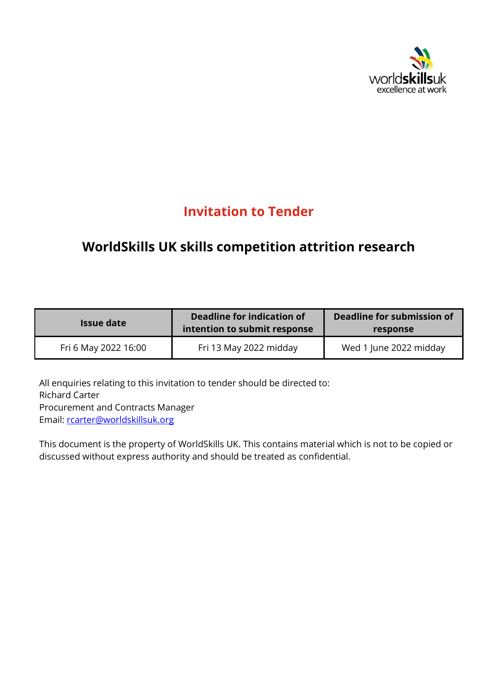

# **Invitation to Tender**

# **WorldSkills UK skills competition attrition research**

| <b>Issue date</b>    | Deadline for indication of<br>intention to submit response | Deadline for submission of<br>response |
|----------------------|------------------------------------------------------------|----------------------------------------|
| Fri 6 May 2022 16:00 | Fri 13 May 2022 midday                                     | Wed 1 June 2022 midday                 |

All enquiries relating to this invitation to tender should be directed to: Richard Carter Procurement and Contracts Manager Email: [rcarter@worldskillsuk.org](mailto:rcarter@worldskillsuk.org)

This document is the property of WorldSkills UK. This contains material which is not to be copied or discussed without express authority and should be treated as confidential.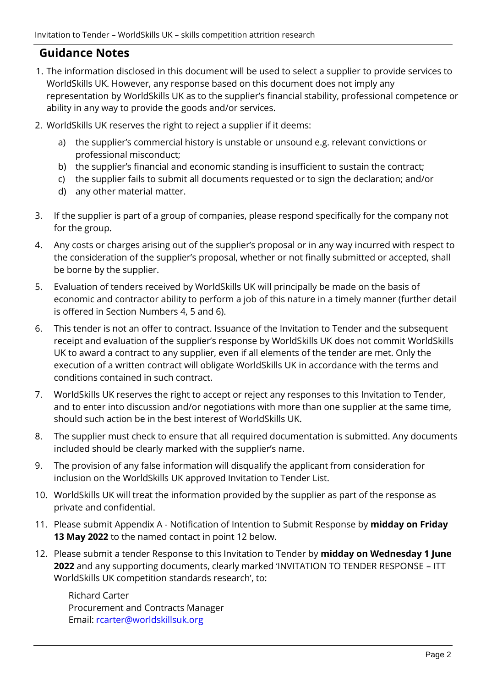## **Guidance Notes**

- 1. The information disclosed in this document will be used to select a supplier to provide services to WorldSkills UK. However, any response based on this document does not imply any representation by WorldSkills UK as to the supplier's financial stability, professional competence or ability in any way to provide the goods and/or services.
- 2. WorldSkills UK reserves the right to reject a supplier if it deems:
	- a) the supplier's commercial history is unstable or unsound e.g. relevant convictions or professional misconduct;
	- b) the supplier's financial and economic standing is insufficient to sustain the contract;
	- c) the supplier fails to submit all documents requested or to sign the declaration; and/or
	- d) any other material matter.
- 3. If the supplier is part of a group of companies, please respond specifically for the company not for the group.
- 4. Any costs or charges arising out of the supplier's proposal or in any way incurred with respect to the consideration of the supplier's proposal, whether or not finally submitted or accepted, shall be borne by the supplier.
- 5. Evaluation of tenders received by WorldSkills UK will principally be made on the basis of economic and contractor ability to perform a job of this nature in a timely manner (further detail is offered in Section Numbers 4, 5 and 6).
- 6. This tender is not an offer to contract. Issuance of the Invitation to Tender and the subsequent receipt and evaluation of the supplier's response by WorldSkills UK does not commit WorldSkills UK to award a contract to any supplier, even if all elements of the tender are met. Only the execution of a written contract will obligate WorldSkills UK in accordance with the terms and conditions contained in such contract.
- 7. WorldSkills UK reserves the right to accept or reject any responses to this Invitation to Tender, and to enter into discussion and/or negotiations with more than one supplier at the same time, should such action be in the best interest of WorldSkills UK.
- 8. The supplier must check to ensure that all required documentation is submitted. Any documents included should be clearly marked with the supplier's name.
- 9. The provision of any false information will disqualify the applicant from consideration for inclusion on the WorldSkills UK approved Invitation to Tender List.
- 10. WorldSkills UK will treat the information provided by the supplier as part of the response as private and confidential.
- 11. Please submit Appendix A Notification of Intention to Submit Response by **midday on Friday 13 May 2022** to the named contact in point 12 below.
- 12. Please submit a tender Response to this Invitation to Tender by **midday on Wednesday 1 June 2022** and any supporting documents, clearly marked 'INVITATION TO TENDER RESPONSE – ITT WorldSkills UK competition standards research', to:

Richard Carter Procurement and Contracts Manager Email: [rcarter@worldskillsuk.org](mailto:rcarter@worldskillsuk.org)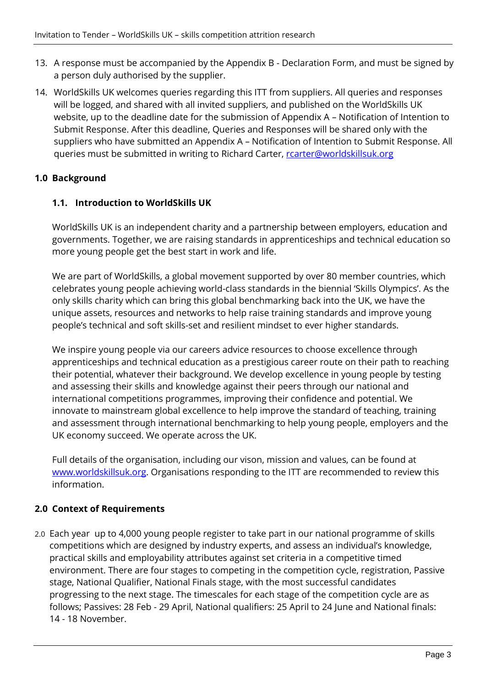- 13. A response must be accompanied by the Appendix B Declaration Form, and must be signed by a person duly authorised by the supplier.
- 14. WorldSkills UK welcomes queries regarding this ITT from suppliers. All queries and responses will be logged, and shared with all invited suppliers, and published on the WorldSkills UK website, up to the deadline date for the submission of Appendix A – Notification of Intention to Submit Response. After this deadline, Queries and Responses will be shared only with the suppliers who have submitted an Appendix A – Notification of Intention to Submit Response. All queries must be submitted in writing to Richard Carter, rearter@worldskillsuk.org

## **1.0 Background**

#### **1.1. Introduction to WorldSkills UK**

WorldSkills UK is an independent charity and a partnership between employers, education and governments. Together, we are raising standards in apprenticeships and technical education so more young people get the best start in work and life.

We are part of WorldSkills, a global movement supported by over 80 member countries, which celebrates young people achieving world-class standards in the biennial 'Skills Olympics'. As the only skills charity which can bring this global benchmarking back into the UK, we have the unique assets, resources and networks to help raise training standards and improve young people's technical and soft skills-set and resilient mindset to ever higher standards.

We inspire young people via our careers advice resources to choose excellence through apprenticeships and technical education as a prestigious career route on their path to reaching their potential, whatever their background. We develop excellence in young people by testing and assessing their skills and knowledge against their peers through our national and international competitions programmes, improving their confidence and potential. We innovate to mainstream global excellence to help improve the standard of teaching, training and assessment through international benchmarking to help young people, employers and the UK economy succeed. We operate across the UK.

Full details of the organisation, including our vison, mission and values, can be found at [www.worldskillsuk.org.](http://www.worldskillsuk.org/) Organisations responding to the ITT are recommended to review this information.

## **2.0 Context of Requirements**

2.0 Each year up to 4,000 young people register to take part in our national programme of skills competitions which are designed by industry experts, and assess an individual's knowledge, practical skills and employability attributes against set criteria in a competitive timed environment. There are four stages to competing in the competition cycle, registration, Passive stage, National Qualifier, National Finals stage, with the most successful candidates progressing to the next stage. The timescales for each stage of the competition cycle are as follows; Passives: 28 Feb - 29 April, National qualifiers: 25 April to 24 June and National finals: 14 - 18 November.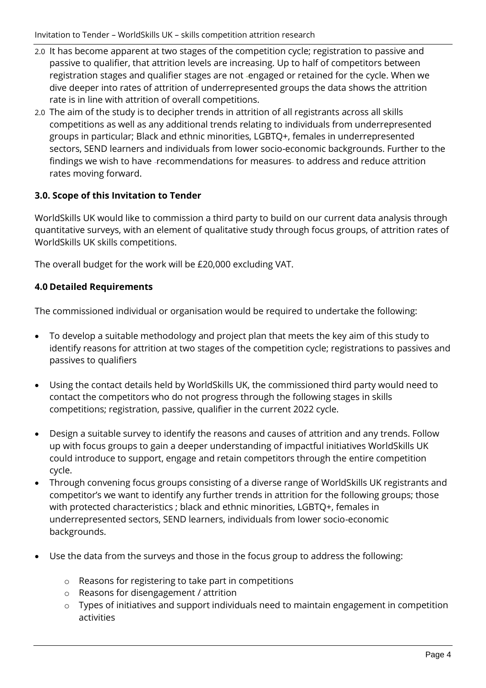Invitation to Tender – WorldSkills UK – skills competition attrition research

- 2.0 It has become apparent at two stages of the competition cycle; registration to passive and passive to qualifier, that attrition levels are increasing. Up to half of competitors between registration stages and qualifier stages are not -engaged or retained for the cycle. When we dive deeper into rates of attrition of underrepresented groups the data shows the attrition rate is in line with attrition of overall competitions.
- 2.0 The aim of the study is to decipher trends in attrition of all registrants across all skills competitions as well as any additional trends relating to individuals from underrepresented groups in particular; Black and ethnic minorities, LGBTQ+, females in underrepresented sectors, SEND learners and individuals from lower socio-economic backgrounds. Further to the findings we wish to have -recommendations for measures- to address and reduce attrition rates moving forward.

## **3.0. Scope of this Invitation to Tender**

WorldSkills UK would like to commission a third party to build on our current data analysis through quantitative surveys, with an element of qualitative study through focus groups, of attrition rates of WorldSkills UK skills competitions.

The overall budget for the work will be £20,000 excluding VAT.

## **4.0 Detailed Requirements**

The commissioned individual or organisation would be required to undertake the following:

- To develop a suitable methodology and project plan that meets the key aim of this study to identify reasons for attrition at two stages of the competition cycle; registrations to passives and passives to qualifiers
- Using the contact details held by WorldSkills UK, the commissioned third party would need to contact the competitors who do not progress through the following stages in skills competitions; registration, passive, qualifier in the current 2022 cycle.
- Design a suitable survey to identify the reasons and causes of attrition and any trends. Follow up with focus groups to gain a deeper understanding of impactful initiatives WorldSkills UK could introduce to support, engage and retain competitors through the entire competition cycle.
- Through convening focus groups consisting of a diverse range of WorldSkills UK registrants and competitor's we want to identify any further trends in attrition for the following groups; those with protected characteristics ; black and ethnic minorities, LGBTQ+, females in underrepresented sectors, SEND learners, individuals from lower socio-economic backgrounds.
- Use the data from the surveys and those in the focus group to address the following:
	- o Reasons for registering to take part in competitions
	- o Reasons for disengagement / attrition
	- o Types of initiatives and support individuals need to maintain engagement in competition activities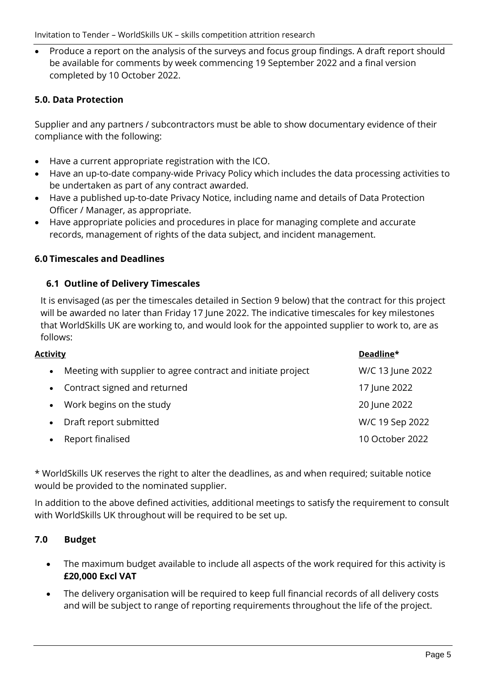• Produce a report on the analysis of the surveys and focus group findings. A draft report should be available for comments by week commencing 19 September 2022 and a final version completed by 10 October 2022.

## **5.0. Data Protection**

Supplier and any partners / subcontractors must be able to show documentary evidence of their compliance with the following:

- Have a current appropriate registration with the ICO.
- Have an up-to-date company-wide Privacy Policy which includes the data processing activities to be undertaken as part of any contract awarded.
- Have a published up-to-date Privacy Notice, including name and details of Data Protection Officer / Manager, as appropriate.
- Have appropriate policies and procedures in place for managing complete and accurate records, management of rights of the data subject, and incident management.

#### **6.0 Timescales and Deadlines**

#### **6.1 Outline of Delivery Timescales**

It is envisaged (as per the timescales detailed in Section 9 below) that the contract for this project will be awarded no later than Friday 17 June 2022. The indicative timescales for key milestones that WorldSkills UK are working to, and would look for the appointed supplier to work to, are as follows:

| <u>Activity</u> |                                                              | Deadline*        |
|-----------------|--------------------------------------------------------------|------------------|
| $\bullet$       | Meeting with supplier to agree contract and initiate project | W/C 13 June 2022 |
| $\bullet$       | Contract signed and returned                                 | 17 June 2022     |
| $\bullet$       | Work begins on the study                                     | 20 June 2022     |
|                 | Draft report submitted                                       | W/C 19 Sep 2022  |
|                 | Report finalised                                             | 10 October 2022  |

\* WorldSkills UK reserves the right to alter the deadlines, as and when required; suitable notice would be provided to the nominated supplier.

In addition to the above defined activities, additional meetings to satisfy the requirement to consult with WorldSkills UK throughout will be required to be set up.

## **7.0 Budget**

- The maximum budget available to include all aspects of the work required for this activity is **£20,000 Excl VAT**
- The delivery organisation will be required to keep full financial records of all delivery costs and will be subject to range of reporting requirements throughout the life of the project.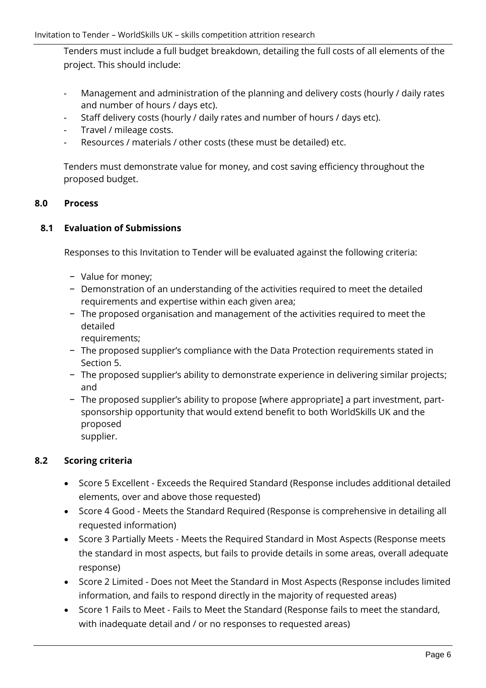Tenders must include a full budget breakdown, detailing the full costs of all elements of the project. This should include:

- Management and administration of the planning and delivery costs (hourly / daily rates and number of hours / days etc).
- Staff delivery costs (hourly / daily rates and number of hours / days etc).
- Travel / mileage costs.
- Resources / materials / other costs (these must be detailed) etc.

Tenders must demonstrate value for money, and cost saving efficiency throughout the proposed budget.

## **8.0 Process**

## **8.1 Evaluation of Submissions**

Responses to this Invitation to Tender will be evaluated against the following criteria:

- − Value for money;
- − Demonstration of an understanding of the activities required to meet the detailed requirements and expertise within each given area;
- − The proposed organisation and management of the activities required to meet the detailed

requirements;

- − The proposed supplier's compliance with the Data Protection requirements stated in Section 5.
- − The proposed supplier's ability to demonstrate experience in delivering similar projects; and
- − The proposed supplier's ability to propose [where appropriate] a part investment, partsponsorship opportunity that would extend benefit to both WorldSkills UK and the proposed supplier.

## **8.2 Scoring criteria**

- Score 5 Excellent Exceeds the Required Standard (Response includes additional detailed elements, over and above those requested)
- Score 4 Good Meets the Standard Required (Response is comprehensive in detailing all requested information)
- Score 3 Partially Meets Meets the Required Standard in Most Aspects (Response meets the standard in most aspects, but fails to provide details in some areas, overall adequate response)
- Score 2 Limited Does not Meet the Standard in Most Aspects (Response includes limited information, and fails to respond directly in the majority of requested areas)
- Score 1 Fails to Meet Fails to Meet the Standard (Response fails to meet the standard, with inadequate detail and / or no responses to requested areas)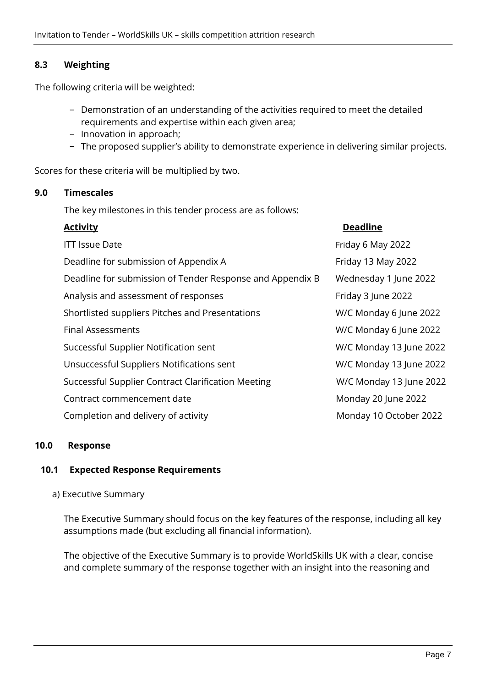## **8.3 Weighting**

The following criteria will be weighted:

- − Demonstration of an understanding of the activities required to meet the detailed requirements and expertise within each given area;
- − Innovation in approach;
- − The proposed supplier's ability to demonstrate experience in delivering similar projects.

Scores for these criteria will be multiplied by two.

#### **9.0 Timescales**

The key milestones in this tender process are as follows:

| <b>Activity</b>                                           | <b>Deadline</b>         |
|-----------------------------------------------------------|-------------------------|
| <b>ITT Issue Date</b>                                     | Friday 6 May 2022       |
| Deadline for submission of Appendix A                     | Friday 13 May 2022      |
| Deadline for submission of Tender Response and Appendix B | Wednesday 1 June 2022   |
| Analysis and assessment of responses                      | Friday 3 June 2022      |
| Shortlisted suppliers Pitches and Presentations           | W/C Monday 6 June 2022  |
| <b>Final Assessments</b>                                  | W/C Monday 6 June 2022  |
| Successful Supplier Notification sent                     | W/C Monday 13 June 2022 |
| Unsuccessful Suppliers Notifications sent                 | W/C Monday 13 June 2022 |
| Successful Supplier Contract Clarification Meeting        | W/C Monday 13 June 2022 |
| Contract commencement date                                | Monday 20 June 2022     |
| Completion and delivery of activity                       | Monday 10 October 2022  |

#### **10.0 Response**

#### **10.1 Expected Response Requirements**

#### a) Executive Summary

The Executive Summary should focus on the key features of the response, including all key assumptions made (but excluding all financial information).

The objective of the Executive Summary is to provide WorldSkills UK with a clear, concise and complete summary of the response together with an insight into the reasoning and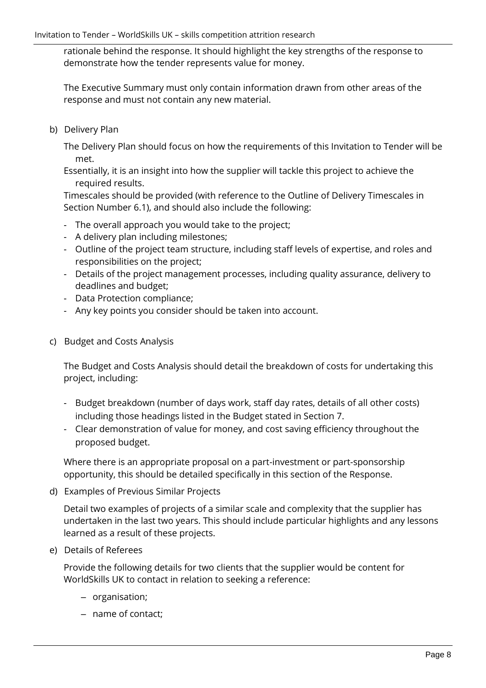rationale behind the response. It should highlight the key strengths of the response to demonstrate how the tender represents value for money.

The Executive Summary must only contain information drawn from other areas of the response and must not contain any new material.

b) Delivery Plan

The Delivery Plan should focus on how the requirements of this Invitation to Tender will be met.

Essentially, it is an insight into how the supplier will tackle this project to achieve the required results.

Timescales should be provided (with reference to the Outline of Delivery Timescales in Section Number 6.1), and should also include the following:

- The overall approach you would take to the project;
- A delivery plan including milestones;
- Outline of the project team structure, including staff levels of expertise, and roles and responsibilities on the project;
- Details of the project management processes, including quality assurance, delivery to deadlines and budget;
- Data Protection compliance;
- Any key points you consider should be taken into account.
- c) Budget and Costs Analysis

The Budget and Costs Analysis should detail the breakdown of costs for undertaking this project, including:

- Budget breakdown (number of days work, staff day rates, details of all other costs) including those headings listed in the Budget stated in Section 7.
- Clear demonstration of value for money, and cost saving efficiency throughout the proposed budget.

Where there is an appropriate proposal on a part-investment or part-sponsorship opportunity, this should be detailed specifically in this section of the Response.

d) Examples of Previous Similar Projects

Detail two examples of projects of a similar scale and complexity that the supplier has undertaken in the last two years. This should include particular highlights and any lessons learned as a result of these projects.

e) Details of Referees

Provide the following details for two clients that the supplier would be content for WorldSkills UK to contact in relation to seeking a reference:

- organisation;
- name of contact;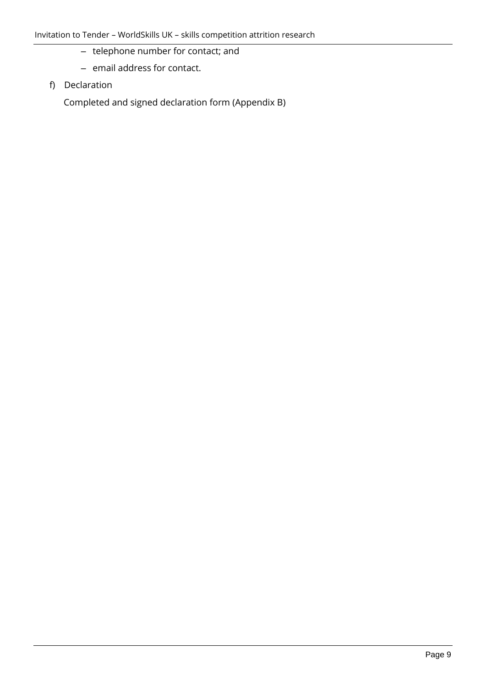- telephone number for contact; and
- email address for contact.
- f) Declaration

Completed and signed declaration form (Appendix B)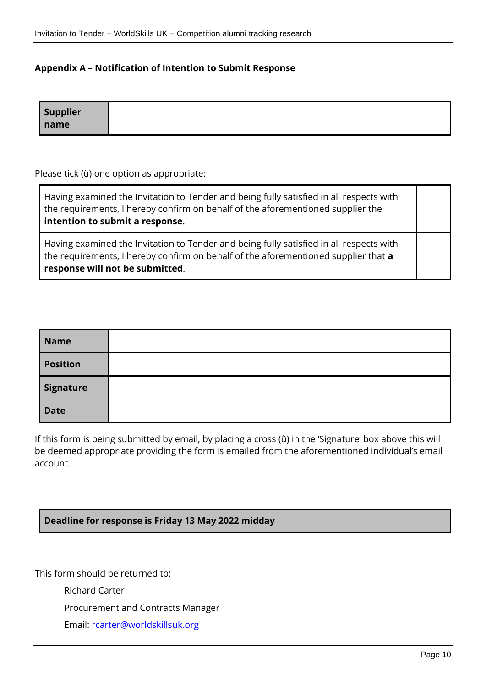#### **Appendix A – Notification of Intention to Submit Response**

| <b>Supplier</b> |  |
|-----------------|--|
| name            |  |

Please tick (ü) one option as appropriate:

| Having examined the Invitation to Tender and being fully satisfied in all respects with<br>the requirements, I hereby confirm on behalf of the aforementioned supplier the<br>intention to submit a response.    |  |
|------------------------------------------------------------------------------------------------------------------------------------------------------------------------------------------------------------------|--|
| Having examined the Invitation to Tender and being fully satisfied in all respects with<br>the requirements, I hereby confirm on behalf of the aforementioned supplier that a<br>response will not be submitted. |  |

| <b>Name</b> |  |
|-------------|--|
| Position    |  |
| Signature   |  |
| <b>Date</b> |  |

If this form is being submitted by email, by placing a cross (û) in the 'Signature' box above this will be deemed appropriate providing the form is emailed from the aforementioned individual's email account.

#### **Deadline for response is Friday 13 May 2022 midday**

This form should be returned to:

Richard Carter

Procurement and Contracts Manager

Email: [rcarter@worldskillsuk.org](mailto:rcarter@worldskillsuk.org)